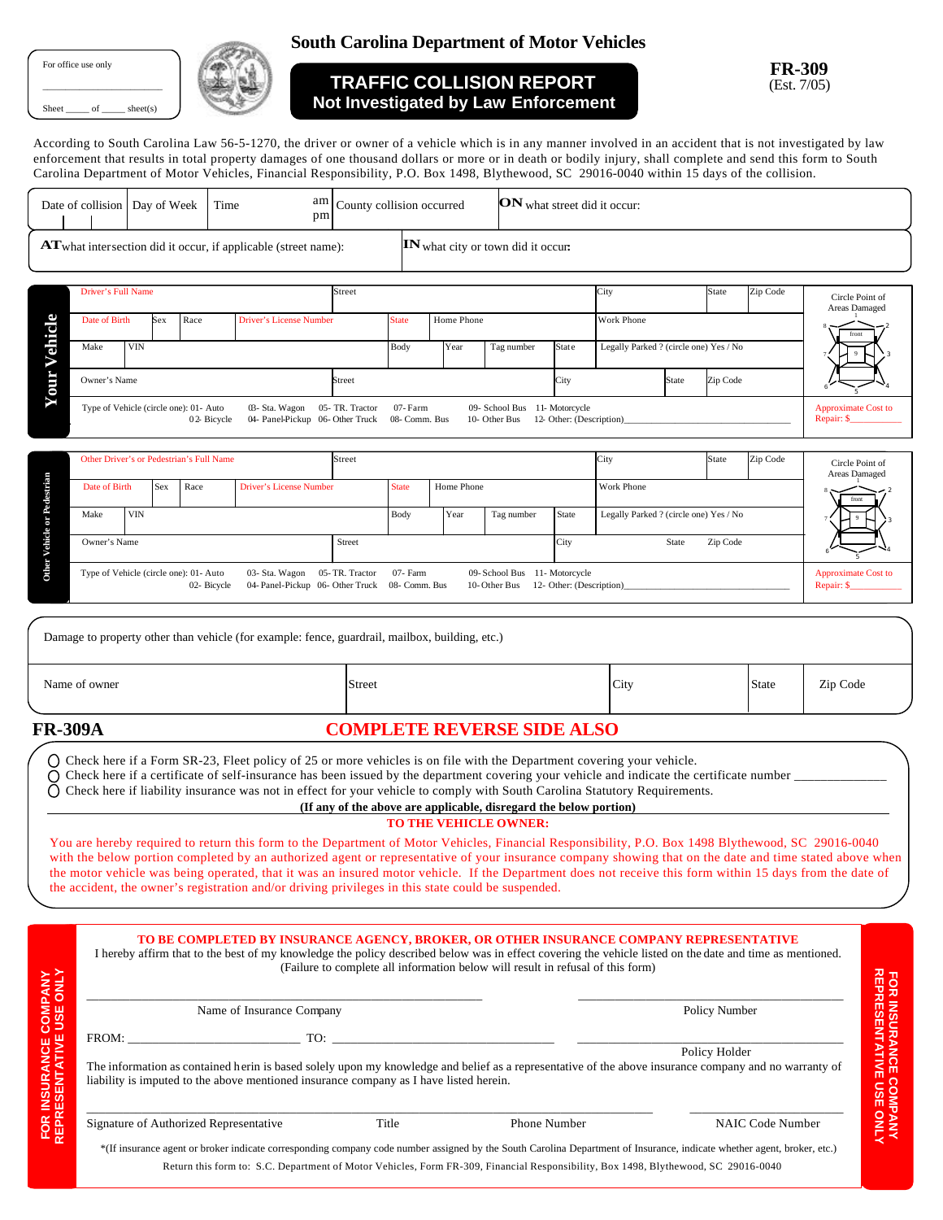For office use only

\_\_\_\_\_\_\_\_\_\_\_\_\_\_\_\_\_\_\_\_\_\_\_\_\_\_  $Sheet$  \_\_\_\_\_\_ of \_\_\_\_\_\_\_ sheet(s)



## **South Carolina Department of Motor Vehicles**

## **TRAFFIC COLLISION REPORT Not Investigated by Law Enforcement**

**FR-309 & FR-21 FR-309** Est. 6/05 (Est. 7/05)

According to South Carolina Law 56-5-1270, the driver or owner of a vehicle which is in any manner involved in an accident that is not investigated by law According to South Carolina Law 56-5-1270, the driver or owner of a vehicle which is in any manner involved in an accident that is not investigated by law enforcement that results in total property damages of one thousand dollars or more or in death or bodily injury, shall complete and send this form to South Carolina Department of Motor Vehicles, Financial Responsibility, P.O. Box 1498, Blythewood, SC 29016-0040 within 15 days of the collision.

| am<br>ON what street did it occur:<br>County collision occurred<br>Date of collision<br>Day of Week<br>Time<br>pm |                                                                                                                                                                                                                                                                                                                     |                                                                                 |                            |      |                              |                   |                                        |                           |          |                                          |                                          |  |  |
|-------------------------------------------------------------------------------------------------------------------|---------------------------------------------------------------------------------------------------------------------------------------------------------------------------------------------------------------------------------------------------------------------------------------------------------------------|---------------------------------------------------------------------------------|----------------------------|------|------------------------------|-------------------|----------------------------------------|---------------------------|----------|------------------------------------------|------------------------------------------|--|--|
| IN what city or town did it occur:<br><b>AT</b> what intersection did it occur, if applicable (street name):      |                                                                                                                                                                                                                                                                                                                     |                                                                                 |                            |      |                              |                   |                                        |                           |          |                                          |                                          |  |  |
|                                                                                                                   | Driver's Full Name                                                                                                                                                                                                                                                                                                  | Street                                                                          |                            |      |                              |                   | City                                   |                           | State    | Zip Code                                 | Circle Point of<br>Areas Damaged         |  |  |
| Vehicle                                                                                                           | Date of Birth<br>Race<br>Sex<br><b>Driver's License Number</b>                                                                                                                                                                                                                                                      |                                                                                 | <b>State</b><br>Home Phone |      |                              | Work Phone        |                                        |                           |          |                                          |                                          |  |  |
|                                                                                                                   | Make<br><b>VIN</b>                                                                                                                                                                                                                                                                                                  |                                                                                 | Body                       | Year | Tag number                   | Stat e            | Legally Parked ? (circle one) Yes / No |                           |          |                                          |                                          |  |  |
| Your <sup>'</sup>                                                                                                 | Owner's Name                                                                                                                                                                                                                                                                                                        | Street                                                                          |                            |      |                              | City              | <b>State</b>                           |                           | Zip Code |                                          |                                          |  |  |
|                                                                                                                   | Type of Vehicle (circle one): 01- Auto<br>03-Sta. Wagon<br>05-TR. Tractor<br>07-Farm<br>09- School Bus 11- Motorcycle<br>02-Bicycle<br>04- Panel-Pickup 06- Other Truck<br>08- Comm. Bus<br>10- Other Bus<br>12- Other: (Description)                                                                               |                                                                                 |                            |      |                              |                   |                                        |                           |          |                                          | <b>Approximate Cost to</b><br>Repair: \$ |  |  |
|                                                                                                                   | Other Driver's or Pedestrian's Full Name                                                                                                                                                                                                                                                                            | Street                                                                          |                            |      |                              |                   |                                        | City<br>State<br>Zip Code |          |                                          | Circle Point of                          |  |  |
|                                                                                                                   | Date of Birth<br><b>Driver's License Number</b><br>Sex<br>Race                                                                                                                                                                                                                                                      |                                                                                 | <b>State</b><br>Home Phone |      |                              | Work Phone        |                                        |                           |          |                                          | Areas Damaged                            |  |  |
|                                                                                                                   | <b>VIN</b><br>Make                                                                                                                                                                                                                                                                                                  |                                                                                 | Body                       | Year | Tag number                   | State             | Legally Parked ? (circle one) Yes / No |                           |          |                                          |                                          |  |  |
| Other Vehicle or Pedestrian                                                                                       | Owner's Name<br>Street<br>City                                                                                                                                                                                                                                                                                      |                                                                                 |                            |      |                              | State<br>Zip Code |                                        |                           |          |                                          |                                          |  |  |
|                                                                                                                   | Type of Vehicle (circle one): 01- Auto<br>03- Sta. Wagon<br>05-TR. Tractor<br>07- Farm<br>09-School Bus<br>11-Motorcycle<br>02-Bicycle<br>04- Panel-Pickup 06- Other Truck<br>08- Comm. Bus<br>10-Other Bus<br>12- Other: (Description)                                                                             |                                                                                 |                            |      |                              |                   |                                        |                           |          | <b>Approximate Cost to</b><br>Repair: \$ |                                          |  |  |
|                                                                                                                   |                                                                                                                                                                                                                                                                                                                     |                                                                                 |                            |      |                              |                   |                                        |                           |          |                                          |                                          |  |  |
|                                                                                                                   | Damage to property other than vehicle (for example: fence, guardrail, mailbox, building, etc.)                                                                                                                                                                                                                      |                                                                                 |                            |      |                              |                   |                                        |                           |          |                                          |                                          |  |  |
| Name of owner<br>Zip Code<br>Street<br>City<br><b>State</b>                                                       |                                                                                                                                                                                                                                                                                                                     |                                                                                 |                            |      |                              |                   |                                        |                           |          |                                          |                                          |  |  |
|                                                                                                                   |                                                                                                                                                                                                                                                                                                                     |                                                                                 |                            |      |                              |                   |                                        |                           |          |                                          |                                          |  |  |
| <b>FR-309A</b>                                                                                                    |                                                                                                                                                                                                                                                                                                                     | <b>COMPLETE REVERSE SIDE ALSO</b>                                               |                            |      |                              |                   |                                        |                           |          |                                          |                                          |  |  |
|                                                                                                                   | O Check here if a Form SR-23, Fleet policy of 25 or more vehicles is on file with the Department covering your vehicle.<br>Check here if a certificate of self-insurance has been issued by the department covering your vehicle and indicate the certificate number                                                |                                                                                 |                            |      |                              |                   |                                        |                           |          |                                          |                                          |  |  |
|                                                                                                                   | Check here if liability insurance was not in effect for your vehicle to comply with South Carolina Statutory Requirements.                                                                                                                                                                                          |                                                                                 |                            |      |                              |                   |                                        |                           |          |                                          |                                          |  |  |
|                                                                                                                   |                                                                                                                                                                                                                                                                                                                     | (If any of the above are applicable, disregard the below portion)               |                            |      | <b>TO THE VEHICLE OWNER:</b> |                   |                                        |                           |          |                                          |                                          |  |  |
|                                                                                                                   | You are hereby required to return this form to the Department of Motor Vehicles, Financial Responsibility, P.O. Box 1498 Blythewood, SC 29016-0040                                                                                                                                                                  |                                                                                 |                            |      |                              |                   |                                        |                           |          |                                          |                                          |  |  |
|                                                                                                                   | with the below portion completed by an authorized agent or representative of your insurance company showing that on the date and time stated above when<br>the motor vehicle was being operated, that it was an insured motor vehicle. If the Department does not receive this form within 15 days from the date of |                                                                                 |                            |      |                              |                   |                                        |                           |          |                                          |                                          |  |  |
|                                                                                                                   | the accident, the owner's registration and/or driving privileges in this state could be suspended.                                                                                                                                                                                                                  |                                                                                 |                            |      |                              |                   |                                        |                           |          |                                          |                                          |  |  |
|                                                                                                                   |                                                                                                                                                                                                                                                                                                                     |                                                                                 |                            |      |                              |                   |                                        |                           |          |                                          |                                          |  |  |
|                                                                                                                   | TO BE COMPLETED BY INSURANCE AGENCY, BROKER, OR OTHER INSURANCE COMPANY REPRESENTATIVE<br>I hereby affirm that to the best of my knowledge the policy described below was in effect covering the vehicle listed on the date and time as mentioned.                                                                  |                                                                                 |                            |      |                              |                   |                                        |                           |          |                                          |                                          |  |  |
|                                                                                                                   |                                                                                                                                                                                                                                                                                                                     | (Failure to complete all information below will result in refusal of this form) |                            |      |                              |                   |                                        |                           |          |                                          |                                          |  |  |
|                                                                                                                   | Name of Insurance Company                                                                                                                                                                                                                                                                                           |                                                                                 |                            |      |                              |                   |                                        | Policy Number             |          |                                          |                                          |  |  |
|                                                                                                                   |                                                                                                                                                                                                                                                                                                                     |                                                                                 |                            |      |                              |                   |                                        |                           |          |                                          |                                          |  |  |
|                                                                                                                   | Policy Holder                                                                                                                                                                                                                                                                                                       |                                                                                 |                            |      |                              |                   |                                        |                           |          |                                          |                                          |  |  |
| FOR INSURANCE COMPANY<br>REPRESENTATIVE USE ONLY                                                                  | <b>FOR INSURANCE COMPANY<br/>REPRESENTATIVE USE ONLY</b><br>The information as contained herin is based solely upon my knowledge and belief as a representative of the above insurance company and no warranty of<br>liability is imputed to the above mentioned insurance company as I have listed herein.         |                                                                                 |                            |      |                              |                   |                                        |                           |          |                                          |                                          |  |  |
|                                                                                                                   | Signature of Authorized Representative                                                                                                                                                                                                                                                                              | Title                                                                           |                            |      | Phone Number                 |                   |                                        |                           |          | NAIC Code Number                         |                                          |  |  |
|                                                                                                                   | *(If insurance agent or broker indicate corresponding company code number assigned by the South Carolina Department of Insurance, indicate whether agent, broker, etc.)                                                                                                                                             |                                                                                 |                            |      |                              |                   |                                        |                           |          |                                          |                                          |  |  |
|                                                                                                                   | Return this form to: S.C. Department of Motor Vehicles, Form FR-309, Financial Responsibility, Box 1498, Blythewood, SC 29016-0040                                                                                                                                                                                  |                                                                                 |                            |      |                              |                   |                                        |                           |          |                                          |                                          |  |  |